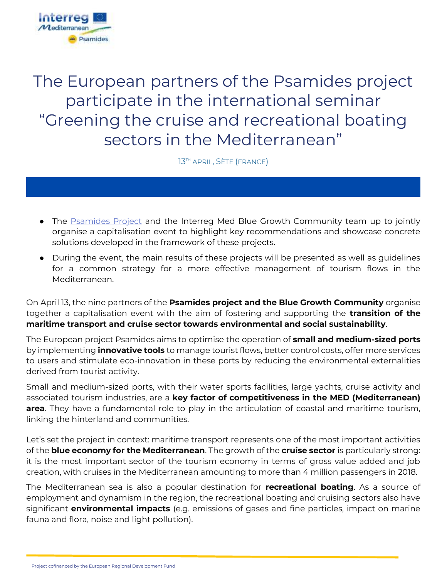

The European partners of the Psamides project participate in the international seminar "Greening the cruise and recreational boating sectors in the Mediterranean"

13TH APRIL, SÈTE (FRANCE)

- The [Psamides Project](https://psamides.interreg-med.eu/) and the Interreg Med Blue Growth Community team up to jointly organise a capitalisation event to highlight key recommendations and showcase concrete solutions developed in the framework of these projects.
- During the event, the main results of these projects will be presented as well as guidelines for a common strategy for a more effective management of tourism flows in the Mediterranean.

On April 13, the nine partners of the **Psamides project and the Blue Growth Community** organise together a capitalisation event with the aim of fostering and supporting the **transition of the maritime transport and cruise sector towards environmental and social sustainability**.

The European project Psamides aims to optimise the operation of **small and medium-sized ports**  by implementing **innovative tools** to manage tourist flows, better control costs, offer more services to users and stimulate eco-innovation in these ports by reducing the environmental externalities derived from tourist activity.

Small and medium-sized ports, with their water sports facilities, large yachts, cruise activity and associated tourism industries, are a **key factor of competitiveness in the MED (Mediterranean) area**. They have a fundamental role to play in the articulation of coastal and maritime tourism, linking the hinterland and communities.

Let's set the project in context: maritime transport represents one of the most important activities of the **blue economy for the Mediterranean**. The growth of the **cruise sector** is particularly strong: it is the most important sector of the tourism economy in terms of gross value added and job creation, with cruises in the Mediterranean amounting to more than 4 million passengers in 2018.

The Mediterranean sea is also a popular destination for **recreational boating**. As a source of employment and dynamism in the region, the recreational boating and cruising sectors also have significant **environmental impacts** (e.g. emissions of gases and fine particles, impact on marine fauna and flora, noise and light pollution).